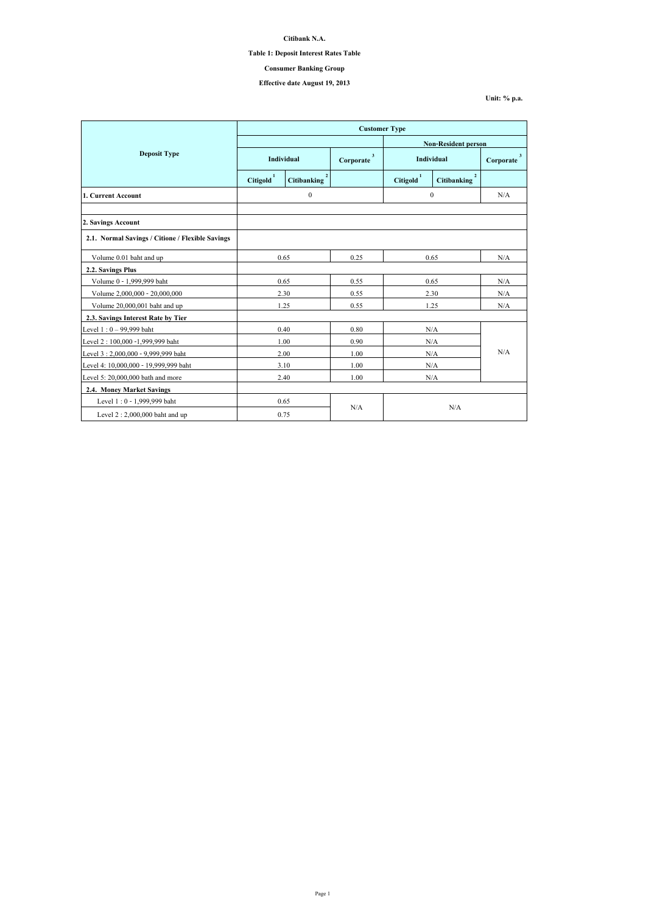|                                                  | <b>Customer Type</b>  |                                      |                |                       |                                      |                |  |
|--------------------------------------------------|-----------------------|--------------------------------------|----------------|-----------------------|--------------------------------------|----------------|--|
|                                                  |                       |                                      |                |                       | <b>Non-Resident person</b>           |                |  |
| <b>Deposit Type</b>                              | <b>Individual</b>     |                                      | 3<br>Corporate | Individual            |                                      | 3<br>Corporate |  |
|                                                  | Citigold <sup>1</sup> | $\overline{2}$<br><b>Citibanking</b> |                | Citigold <sup>1</sup> | $\overline{2}$<br><b>Citibanking</b> |                |  |
| 1. Current Account                               | $\boldsymbol{0}$      |                                      |                | $\mathbf{0}$          |                                      | N/A            |  |
|                                                  |                       |                                      |                |                       |                                      |                |  |
| 2. Savings Account                               |                       |                                      |                |                       |                                      |                |  |
| 2.1. Normal Savings / Citione / Flexible Savings |                       |                                      |                |                       |                                      |                |  |
| Volume 0.01 baht and up                          | 0.65                  |                                      | 0.25           | 0.65                  |                                      | N/A            |  |
| 2.2. Savings Plus                                |                       |                                      |                |                       |                                      |                |  |
| Volume 0 - 1,999,999 baht                        | 0.65                  |                                      | 0.55           |                       | 0.65                                 | N/A            |  |
| Volume 2,000,000 - 20,000,000                    |                       | 2.30                                 | 0.55           |                       | 2.30                                 | N/A            |  |
| Volume 20,000,001 baht and up                    | 1.25                  |                                      | 0.55           |                       | 1.25                                 | N/A            |  |
| 2.3. Savings Interest Rate by Tier               |                       |                                      |                |                       |                                      |                |  |
| Level $1:0 - 99,999$ baht                        | 0.40                  |                                      | 0.80           | N/A                   |                                      | N/A            |  |
| Level 2: 100,000 -1,999,999 baht                 |                       | 1.00                                 | 0.90           | N/A                   |                                      |                |  |
| Level 3:2,000,000 - 9,999,999 baht               |                       | 2.00                                 | 1.00           | N/A                   |                                      |                |  |
| Level 4: 10,000,000 - 19,999,999 baht            |                       | 3.10                                 | 1.00           | N/A                   |                                      |                |  |
| Level 5: $20,000,000$ bath and more              |                       | 2.40                                 | 1.00           | N/A                   |                                      |                |  |
| 2.4. Money Market Savings                        |                       |                                      |                |                       |                                      |                |  |
| Level 1 : 0 - 1,999,999 baht                     | 0.65                  |                                      |                |                       |                                      |                |  |
| Level $2:2,000,000$ baht and up                  | 0.75                  |                                      | N/A            | N/A                   |                                      |                |  |

**Citibank N.A.**

**Table 1: Deposit Interest Rates Table**

**Effective date August 19, 2013**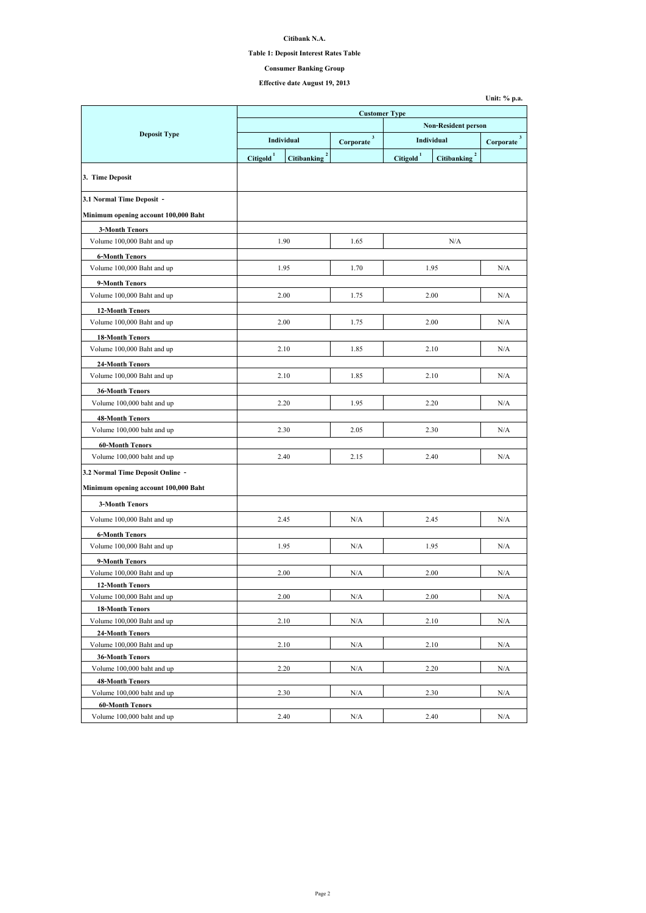**Citibank N.A.**

## **Table 1: Deposit Interest Rates Table**

# **Effective date August 19, 2013**

|                                                      | <b>Customer Type</b>       |                                      |                           |                   |                                    |                           |  |
|------------------------------------------------------|----------------------------|--------------------------------------|---------------------------|-------------------|------------------------------------|---------------------------|--|
|                                                      | <b>Non-Resident person</b> |                                      |                           |                   |                                    |                           |  |
| <b>Deposit Type</b>                                  |                            | <b>Individual</b>                    | $\mathbf{3}$<br>Corporate | <b>Individual</b> |                                    | $\mathbf{3}$<br>Corporate |  |
|                                                      | <b>Citigold</b>            | $\overline{2}$<br><b>Citibanking</b> |                           | <b>Citigold</b>   | $\mathbf{2}$<br><b>Citibanking</b> |                           |  |
|                                                      |                            |                                      |                           |                   |                                    |                           |  |
| 3. Time Deposit                                      |                            |                                      |                           |                   |                                    |                           |  |
| 3.1 Normal Time Deposit -                            |                            |                                      |                           |                   |                                    |                           |  |
| Minimum opening account 100,000 Baht                 |                            |                                      |                           |                   |                                    |                           |  |
| <b>3-Month Tenors</b>                                |                            |                                      |                           |                   |                                    |                           |  |
| Volume 100,000 Baht and up                           |                            | 1.90                                 | 1.65                      |                   | N/A                                |                           |  |
| <b>6-Month Tenors</b>                                |                            |                                      |                           |                   |                                    |                           |  |
| Volume 100,000 Baht and up                           |                            | 1.95                                 | 1.70                      |                   | 1.95                               | N/A                       |  |
| 9-Month Tenors                                       |                            |                                      |                           |                   |                                    |                           |  |
| Volume 100,000 Baht and up                           |                            | 2.00                                 | 1.75                      |                   | 2.00                               | N/A                       |  |
| <b>12-Month Tenors</b>                               |                            |                                      |                           |                   |                                    |                           |  |
| Volume 100,000 Baht and up                           |                            | 2.00                                 | 1.75                      |                   | 2.00                               | N/A                       |  |
| <b>18-Month Tenors</b>                               |                            |                                      |                           |                   |                                    |                           |  |
| Volume 100,000 Baht and up                           |                            | 2.10                                 | 1.85                      | 2.10              |                                    | N/A                       |  |
| <b>24-Month Tenors</b>                               |                            |                                      |                           |                   |                                    |                           |  |
| Volume 100,000 Baht and up                           |                            | 2.10                                 | 1.85                      |                   | 2.10                               | N/A                       |  |
| <b>36-Month Tenors</b>                               |                            |                                      |                           |                   |                                    |                           |  |
| Volume 100,000 baht and up                           |                            | 2.20                                 | 1.95                      |                   | 2.20                               | N/A                       |  |
|                                                      |                            |                                      |                           |                   |                                    |                           |  |
| <b>48-Month Tenors</b><br>Volume 100,000 baht and up |                            | 2.30                                 | 2.05                      |                   | 2.30                               | N/A                       |  |
|                                                      |                            |                                      |                           |                   |                                    |                           |  |
| <b>60-Month Tenors</b>                               |                            |                                      |                           |                   |                                    |                           |  |
| Volume 100,000 baht and up                           |                            | 2.40                                 | 2.15                      |                   | 2.40                               | N/A                       |  |
| 3.2 Normal Time Deposit Online -                     |                            |                                      |                           |                   |                                    |                           |  |
| Minimum opening account 100,000 Baht                 |                            |                                      |                           |                   |                                    |                           |  |
| <b>3-Month Tenors</b>                                |                            |                                      |                           |                   |                                    |                           |  |
| Volume 100,000 Baht and up                           |                            | 2.45                                 | N/A                       |                   | 2.45                               | N/A                       |  |
| <b>6-Month Tenors</b>                                |                            |                                      |                           |                   |                                    |                           |  |
| Volume 100,000 Baht and up                           |                            | 1.95                                 | N/A                       |                   | 1.95                               | N/A                       |  |
| 9-Month Tenors                                       |                            |                                      |                           |                   |                                    |                           |  |
| Volume 100,000 Baht and up                           |                            | 2.00                                 | N/A                       |                   | 2.00                               | N/A                       |  |
| <b>12-Month Tenors</b>                               |                            |                                      |                           |                   |                                    |                           |  |
| Volume 100,000 Baht and up                           |                            | 2.00                                 | N/A                       |                   | 2.00                               | N/A                       |  |
| <b>18-Month Tenors</b>                               |                            |                                      |                           |                   |                                    |                           |  |
| Volume 100,000 Baht and up                           |                            | 2.10                                 | N/A                       | 2.10              |                                    | N/A                       |  |
| <b>24-Month Tenors</b>                               |                            |                                      |                           |                   |                                    |                           |  |
| Volume 100,000 Baht and up                           |                            | 2.10                                 | N/A                       | 2.10              |                                    | N/A                       |  |
| <b>36-Month Tenors</b>                               |                            |                                      |                           |                   |                                    |                           |  |
| Volume 100,000 baht and up                           |                            | 2.20                                 | N/A                       |                   | 2.20                               | N/A                       |  |
| <b>48-Month Tenors</b>                               |                            |                                      |                           |                   |                                    |                           |  |
| Volume 100,000 baht and up                           |                            | 2.30                                 | N/A                       |                   | 2.30                               | N/A                       |  |
| <b>60-Month Tenors</b>                               |                            |                                      |                           |                   |                                    |                           |  |
| Volume 100,000 baht and up                           |                            | 2.40                                 | N/A                       |                   | 2.40                               | N/A                       |  |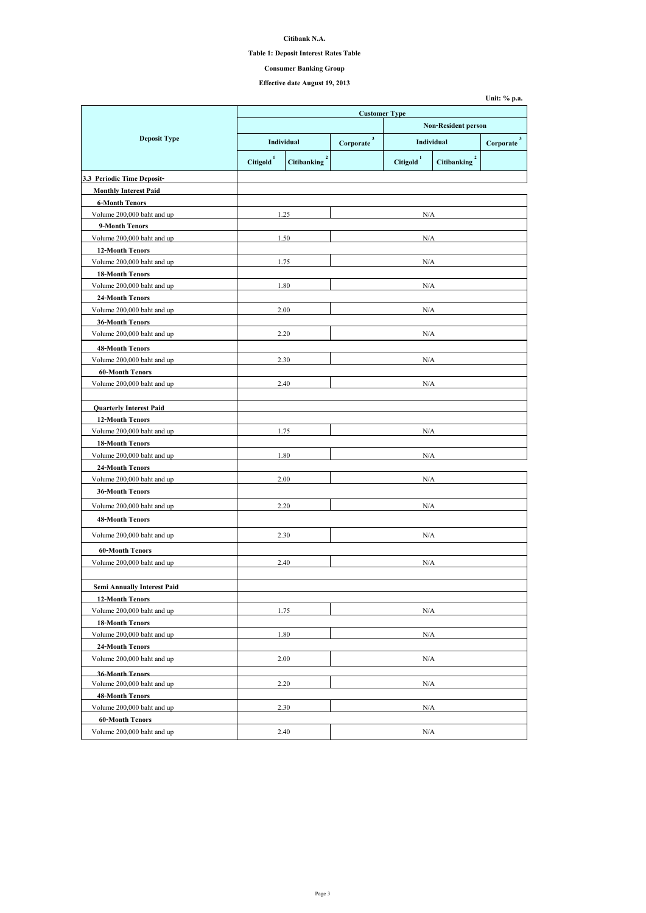**Citibank N.A.**

## **Table 1: Deposit Interest Rates Table**

# **Effective date August 19, 2013**

|                                    | <b>Customer Type</b> |                                      |                             |                                 |                                      |                             |
|------------------------------------|----------------------|--------------------------------------|-----------------------------|---------------------------------|--------------------------------------|-----------------------------|
|                                    |                      |                                      | <b>Non-Resident person</b>  |                                 |                                      |                             |
| <b>Deposit Type</b>                |                      | <b>Individual</b>                    | 3 <sup>1</sup><br>Corporate | <b>Individual</b>               |                                      | 3 <sup>1</sup><br>Corporate |
|                                    | <b>Citigold</b>      | $\overline{2}$<br><b>Citibanking</b> |                             | $\mathbf{1}$<br><b>Citigold</b> | $\overline{2}$<br><b>Citibanking</b> |                             |
| 3.3 Periodic Time Deposit-         |                      |                                      |                             |                                 |                                      |                             |
| <b>Monthly Interest Paid</b>       |                      |                                      |                             |                                 |                                      |                             |
| <b>6-Month Tenors</b>              |                      |                                      |                             |                                 |                                      |                             |
| Volume 200,000 baht and up         |                      | 1.25                                 |                             | N/A                             |                                      |                             |
| 9-Month Tenors                     |                      |                                      |                             |                                 |                                      |                             |
| Volume 200,000 baht and up         |                      | 1.50                                 |                             | N/A                             |                                      |                             |
| <b>12-Month Tenors</b>             |                      |                                      |                             |                                 |                                      |                             |
| Volume 200,000 baht and up         |                      | 1.75                                 |                             | N/A                             |                                      |                             |
| <b>18-Month Tenors</b>             |                      |                                      |                             |                                 |                                      |                             |
| Volume 200,000 baht and up         |                      | 1.80                                 |                             | N/A                             |                                      |                             |
| <b>24-Month Tenors</b>             |                      |                                      |                             |                                 |                                      |                             |
| Volume 200,000 baht and up         |                      | 2.00                                 |                             | N/A                             |                                      |                             |
| <b>36-Month Tenors</b>             |                      |                                      |                             |                                 |                                      |                             |
| Volume 200,000 baht and up         |                      | 2.20                                 |                             | N/A                             |                                      |                             |
| <b>48-Month Tenors</b>             |                      |                                      |                             |                                 |                                      |                             |
| Volume 200,000 baht and up         |                      | 2.30                                 |                             | N/A                             |                                      |                             |
| <b>60-Month Tenors</b>             |                      |                                      |                             |                                 |                                      |                             |
| Volume 200,000 baht and up         |                      | 2.40                                 | $\rm N/A$                   |                                 |                                      |                             |
| <b>Quarterly Interest Paid</b>     |                      |                                      |                             |                                 |                                      |                             |
| <b>12-Month Tenors</b>             |                      |                                      |                             |                                 |                                      |                             |
| Volume 200,000 baht and up         |                      | 1.75                                 |                             | N/A                             |                                      |                             |
| <b>18-Month Tenors</b>             |                      |                                      |                             |                                 |                                      |                             |
| Volume 200,000 baht and up         |                      | 1.80                                 |                             | N/A                             |                                      |                             |
| <b>24-Month Tenors</b>             |                      |                                      |                             |                                 |                                      |                             |
| Volume 200,000 baht and up         |                      | 2.00                                 | N/A                         |                                 |                                      |                             |
| <b>36-Month Tenors</b>             |                      |                                      |                             |                                 |                                      |                             |
| Volume 200,000 baht and up         |                      | 2.20                                 | N/A                         |                                 |                                      |                             |
| <b>48-Month Tenors</b>             |                      |                                      |                             |                                 |                                      |                             |
|                                    |                      |                                      |                             |                                 |                                      |                             |
| Volume 200,000 baht and up         |                      | 2.30                                 |                             | $\rm N/A$                       |                                      |                             |
| <b>60-Month Tenors</b>             |                      |                                      |                             |                                 |                                      |                             |
| Volume 200,000 baht and up         |                      | 2.40                                 |                             | N/A                             |                                      |                             |
| <b>Semi Annually Interest Paid</b> |                      |                                      |                             |                                 |                                      |                             |
| <b>12-Month Tenors</b>             |                      |                                      |                             |                                 |                                      |                             |
| Volume 200,000 baht and up         |                      | 1.75                                 |                             | N/A                             |                                      |                             |
| <b>18-Month Tenors</b>             |                      |                                      |                             |                                 |                                      |                             |
| Volume 200,000 baht and up         |                      | 1.80                                 | N/A                         |                                 |                                      |                             |
| <b>24-Month Tenors</b>             |                      |                                      |                             |                                 |                                      |                             |
| Volume 200,000 baht and up         |                      | 2.00                                 | N/A                         |                                 |                                      |                             |
| <b>36-Month Tenors</b>             |                      |                                      |                             |                                 |                                      |                             |
| Volume 200,000 baht and up         |                      | 2.20                                 |                             | N/A                             |                                      |                             |
| <b>48-Month Tenors</b>             |                      |                                      |                             |                                 |                                      |                             |
| Volume 200,000 baht and up         |                      | 2.30                                 |                             | $\rm N/A$                       |                                      |                             |
| <b>60-Month Tenors</b>             |                      |                                      |                             |                                 |                                      |                             |
| Volume 200,000 baht and up         | 2.40                 |                                      | N/A                         |                                 |                                      |                             |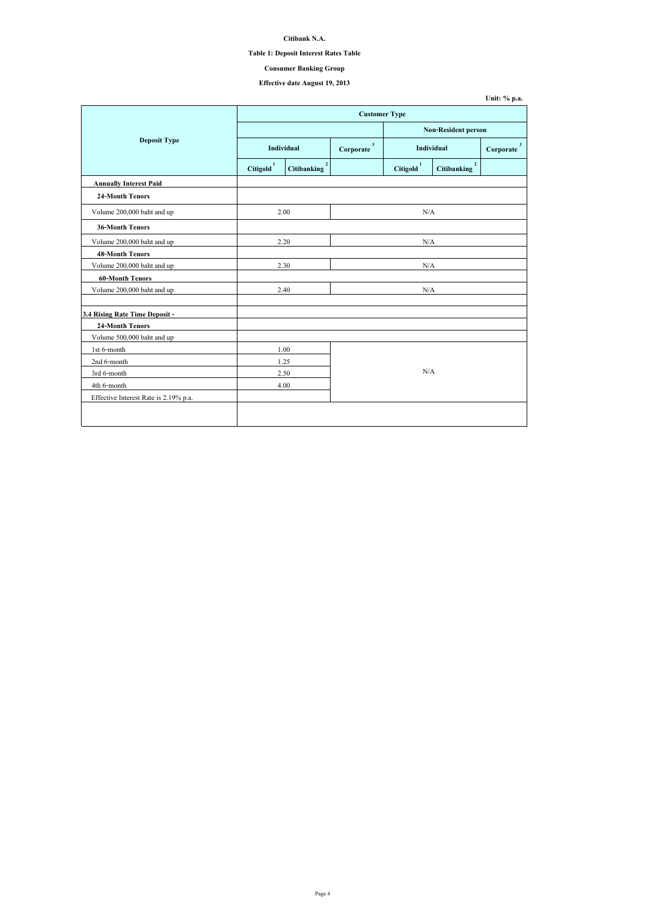| Unit: $\%$ p.a. |  |  |
|-----------------|--|--|
|-----------------|--|--|

## **Citibank N.A.**

## **Table 1: Deposit Interest Rates Table**

# **Effective date August 19, 2013**

|                                       | <b>Customer Type</b>  |                                      |     |                       |                                        |                           |  |
|---------------------------------------|-----------------------|--------------------------------------|-----|-----------------------|----------------------------------------|---------------------------|--|
|                                       |                       |                                      |     |                       | <b>Non-Resident person</b>             |                           |  |
| <b>Deposit Type</b>                   |                       | Individual                           |     | <b>Individual</b>     |                                        | $\mathbf{3}$<br>Corporate |  |
|                                       | Citigold <sup>1</sup> | $\overline{2}$<br><b>Citibanking</b> |     | Citigold <sup>1</sup> | $\boldsymbol{2}$<br><b>Citibanking</b> |                           |  |
| <b>Annually Interest Paid</b>         |                       |                                      |     |                       |                                        |                           |  |
| <b>24-Month Tenors</b>                |                       |                                      |     |                       |                                        |                           |  |
| Volume 200,000 baht and up            |                       | 2.00                                 |     | N/A                   |                                        |                           |  |
| <b>36-Month Tenors</b>                |                       |                                      |     |                       |                                        |                           |  |
| Volume 200,000 baht and up            | 2.20                  |                                      | N/A |                       |                                        |                           |  |
| <b>48-Month Tenors</b>                |                       |                                      |     |                       |                                        |                           |  |
| Volume 200,000 baht and up            |                       | 2.30                                 | N/A |                       |                                        |                           |  |
| <b>60-Month Tenors</b>                |                       |                                      |     |                       |                                        |                           |  |
| Volume 200,000 baht and up            |                       | 2.40                                 | N/A |                       |                                        |                           |  |
| 3.4 Rising Rate Time Deposit -        |                       |                                      |     |                       |                                        |                           |  |
| <b>24-Month Tenors</b>                |                       |                                      |     |                       |                                        |                           |  |
| Volume 500,000 baht and up            |                       |                                      |     |                       |                                        |                           |  |
| 1st 6-month                           |                       | 1.00                                 |     |                       |                                        |                           |  |
| 2nd 6-month                           |                       | 1.25                                 |     |                       |                                        |                           |  |
| 3rd 6-month                           |                       | 2.50                                 | N/A |                       |                                        |                           |  |
| 4th 6-month                           |                       | 4.00                                 |     |                       |                                        |                           |  |
| Effective Interest Rate is 2.19% p.a. |                       |                                      |     |                       |                                        |                           |  |
|                                       |                       |                                      |     |                       |                                        |                           |  |
|                                       |                       |                                      |     |                       |                                        |                           |  |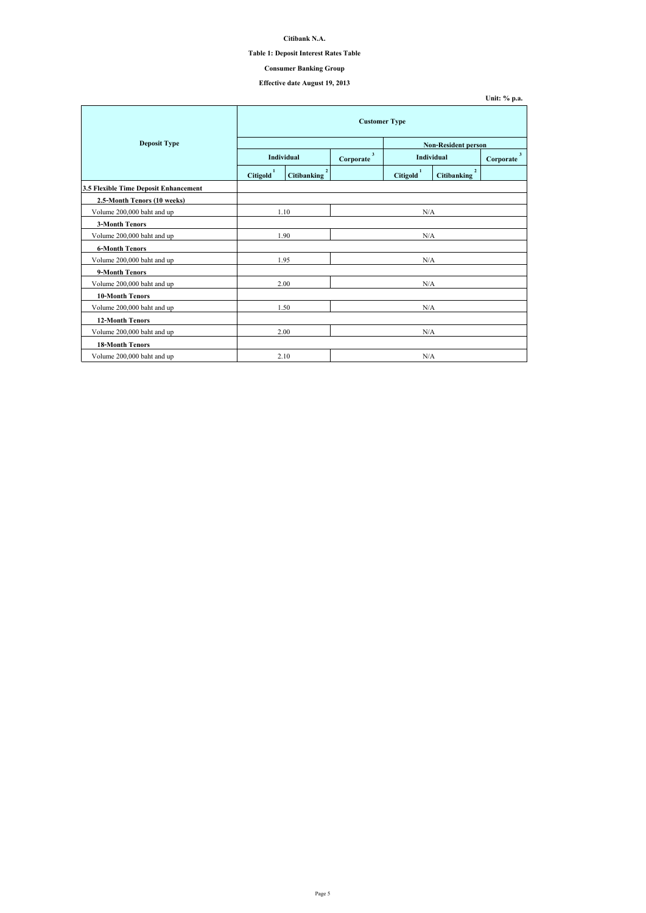## **Citibank N.A.**

## **Table 1: Deposit Interest Rates Table**

# **Effective date August 19, 2013**

|                                              | <b>Customer Type</b>  |                                      |                           |                       |                                      |                           |  |
|----------------------------------------------|-----------------------|--------------------------------------|---------------------------|-----------------------|--------------------------------------|---------------------------|--|
| <b>Deposit Type</b>                          |                       |                                      |                           |                       | <b>Non-Resident person</b>           |                           |  |
|                                              |                       | <b>Individual</b>                    | $\mathbf{3}$<br>Corporate | <b>Individual</b>     |                                      | $\mathbf{3}$<br>Corporate |  |
|                                              | Citigold <sup>1</sup> | $\overline{2}$<br><b>Citibanking</b> |                           | Citigold <sup>1</sup> | $\overline{2}$<br><b>Citibanking</b> |                           |  |
| <b>3.5 Flexible Time Deposit Enhancement</b> |                       |                                      |                           |                       |                                      |                           |  |
| 2.5-Month Tenors (10 weeks)                  |                       |                                      |                           |                       |                                      |                           |  |
| Volume 200,000 baht and up                   | 1.10                  |                                      | N/A                       |                       |                                      |                           |  |
| <b>3-Month Tenors</b>                        |                       |                                      |                           |                       |                                      |                           |  |
| Volume 200,000 baht and up                   | 1.90                  |                                      | N/A                       |                       |                                      |                           |  |
| <b>6-Month Tenors</b>                        |                       |                                      |                           |                       |                                      |                           |  |
| Volume 200,000 baht and up                   | 1.95                  |                                      | N/A                       |                       |                                      |                           |  |
| 9-Month Tenors                               |                       |                                      |                           |                       |                                      |                           |  |
| Volume 200,000 baht and up                   |                       | 2.00                                 |                           | N/A                   |                                      |                           |  |
| <b>10-Month Tenors</b>                       |                       |                                      |                           |                       |                                      |                           |  |
| Volume 200,000 baht and up                   |                       | 1.50                                 | N/A                       |                       |                                      |                           |  |
| <b>12-Month Tenors</b>                       |                       |                                      |                           |                       |                                      |                           |  |
| Volume 200,000 baht and up                   |                       | 2.00                                 |                           | N/A                   |                                      |                           |  |
| <b>18-Month Tenors</b>                       |                       |                                      |                           |                       |                                      |                           |  |
| Volume 200,000 baht and up                   |                       | 2.10                                 |                           | N/A                   |                                      |                           |  |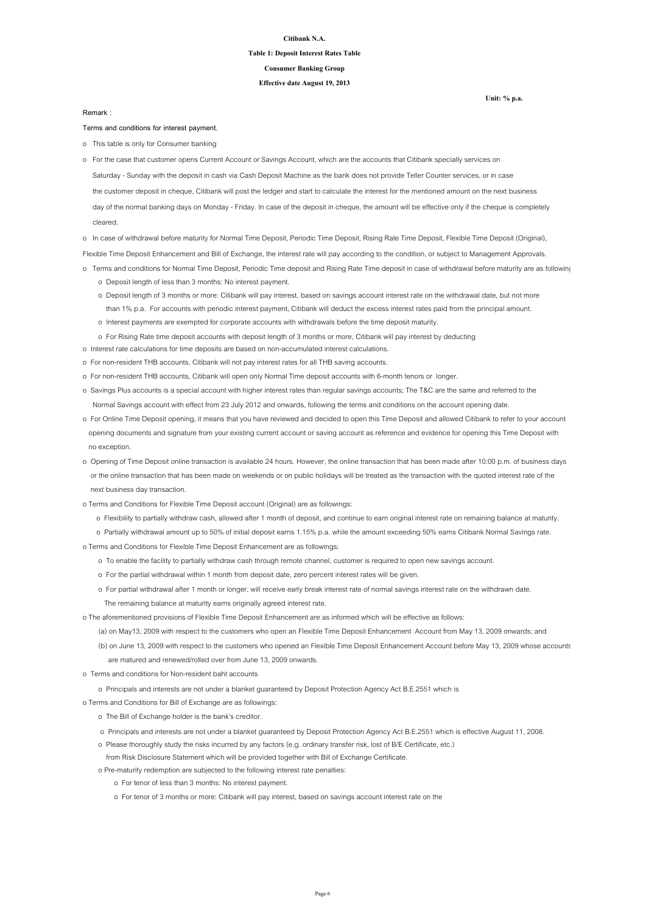#### **Citibank N.A.**

#### **Table 1: Deposit Interest Rates Table**

**Effective date August 19, 2013**

**Consumer Banking Group**

**Terms and conditions for interest payment.**

o This table is only for Consumer banking

o In case of withdrawal before maturity for Normal Time Deposit, Periodic Time Deposit, Rising Rate Time Deposit, Flexible Time Deposit (Original),

Flexible Time Deposit Enhancement and Bill of Exchange, the interest rate will pay according to the condition, or subject to Management Approvals.

- o Terms and conditions for Normal Time Deposit, Periodic Time deposit and Rising Rate Time deposit in case of withdrawal before maturity are as following
	- o Deposit length of less than 3 months: No interest payment.
	- o Deposit length of 3 months or more: Citibank will pay interest, based on savings account interest rate on the withdrawal date, but not more than 1% p.a. For accounts with periodic interest payment, Citibank will deduct the excess interest rates paid from the principal amount.
	- o Interest payments are exempted for corporate accounts with withdrawals before the time deposit maturity.
	- o For Rising Rate time deposit accounts with deposit length of 3 months or more, Citibank will pay interest by deducting
- o Interest rate calculations for time deposits are based on non-accumulated interest calculations.
- o For non-resident THB accounts, Citibank will not pay interest rates for all THB saving accounts.
- o For non-resident THB accounts, Citibank will open only Normal Time deposit accounts with 6-month tenors or longer.
- o Savings Plus accounts is a special account with higher interest rates than regular savings accounts; The T&C are the same and referred to the Normal Savings account with effect from 23 July 2012 and onwards, following the terms and conditions on the account opening date.
- o For Online Time Deposit opening, it means that you have reviewed and decided to open this Time Deposit and allowed Citibank to refer to your account opening documents and signature from your existing current account or saving account as reference and evidence for opening this Time Deposit with no exception.
- o Opening of Time Deposit online transaction is available 24 hours. However, the online transaction that has been made after 10:00 p.m. of business days or the online transaction that has been made on weekends or on public holidays will be treated as the transaction with the quoted interest rate of the

 Saturday - Sunday with the deposit in cash via Cash Deposit Machine as the bank does not provide Teller Counter services, or in case the customer deposit in cheque, Citibank will post the ledger and start to calculate the interest for the mentioned amount on the next business day of the normal banking days on Monday - Friday. In case of the deposit in cheque, the amount will be effective only if the cheque is completely cleared. o For the case that customer opens Current Account or Savings Account, which are the accounts that Citibank specially services on

next business day transaction.

- o Terms and Conditions for Flexible Time Deposit account (Original) are as followings:
	- o Flexibility to partially withdraw cash, allowed after 1 month of deposit, and continue to earn original interest rate on remaining balance at maturity.
	- o Partially withdrawal amount up to 50% of initial deposit earns 1.15% p.a. while the amount exceeding 50% earns Citibank Normal Savings rate.
- o Terms and Conditions for Flexible Time Deposit Enhancement are as followings:
	- o To enable the facility to partially withdraw cash through remote channel, customer is required to open new savings account.
	- o For the partial withdrawal within 1 month from deposit date, zero percent interest rates will be given.
	- o For partial withdrawal after 1 month or longer, will receive early break interest rate of normal savings interest rate on the withdrawn date.
		- The remaining balance at maturity earns originally agreed interest rate.
- o The aforementioned provisions of Flexible Time Deposit Enhancement are as informed which will be effective as follows:
	- (a) on May13, 2009 with respect to the customers who open an Flexible Time Deposit Enhancement Account from May 13, 2009 onwards; and
	- (b) on June 13, 2009 with respect to the customers who opened an Flexible Time Deposit Enhancement Account before May 13, 2009 whose accounts are matured and renewed/rolled over from June 13, 2009 onwards.
- o Terms and conditions for Non-resident baht accounts
	- o Principals and interests are not under a blanket guaranteed by Deposit Protection Agency Act B.E.2551 which is
- o Terms and Conditions for Bill of Exchange are as followings:
	- o The Bill of Exchange holder is the bank's creditor.
	- o Principals and interests are not under a blanket guaranteed by Deposit Protection Agency Act B.E.2551 which is effective August 11, 2008.
	- o Please thoroughly study the risks incurred by any factors (e.g. ordinary transfer risk, lost of B/E Certificate, etc.)
	- from Risk Disclosure Statement which will be provided together with Bill of Exchange Certificate.
	- o Pre-maturity redemption are subjected to the following interest rate penalties:
		- o For tenor of less than 3 months: No interest payment.
		- o For tenor of 3 months or more: Citibank will pay interest, based on savings account interest rate on the

**Remark :**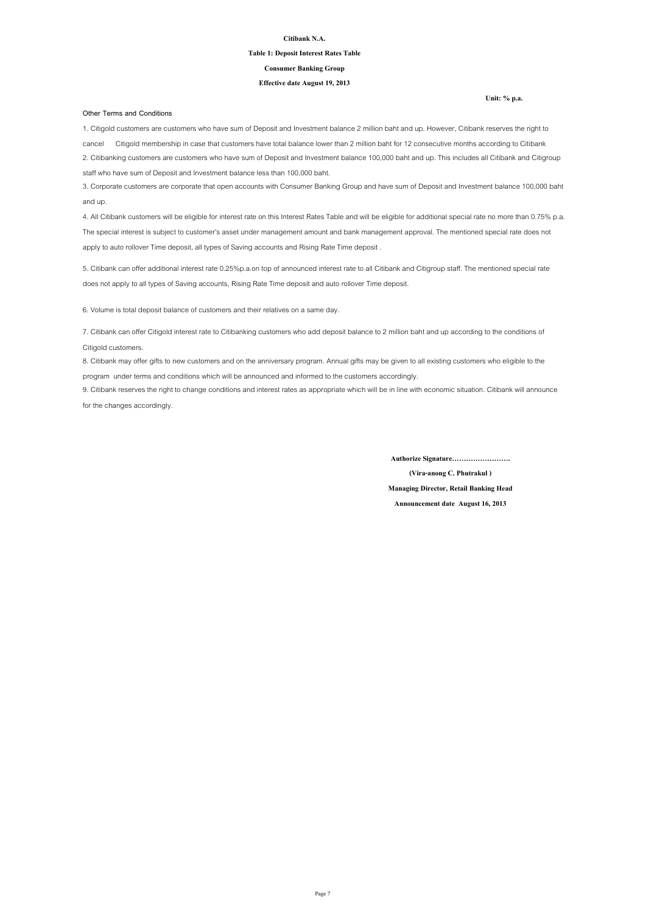#### **Citibank N.A.**

#### **Table 1: Deposit Interest Rates Table**

#### **Effective date August 19, 2013**

#### **Consumer Banking Group**

#### **Other Terms and Conditions**

**(Vira-anong C. Phutrakul )**

**Managing Director, Retail Banking Head**

**Announcement date August 16, 2013**

**Authorize Signature…………………….**

6. Volume is total deposit balance of customers and their relatives on a same day.

8. Citibank may offer gifts to new customers and on the anniversary program. Annual gifts may be given to all existing customers who eligible to the program under terms and conditions which will be announced and informed to the customers accordingly.

9. Citibank reserves the right to change conditions and interest rates as appropriate which will be in line with economic situation. Citibank will announce for the changes accordingly.

1. Citigold customers are customers who have sum of Deposit and Investment balance 2 million baht and up. However, Citibank reserves the right to cancel Citigold membership in case that customers have total balance lower than 2 million baht for 12 consecutive months according to Citibank 2. Citibanking customers are customers who have sum of Deposit and Investment balance 100,000 baht and up. This includes all Citibank and Citigroup staff who have sum of Deposit and Investment balance less than 100,000 baht.

3. Corporate customers are corporate that open accounts with Consumer Banking Group and have sum of Deposit and Investment balance 100,000 baht and up.

4. All Citibank customers will be eligible for interest rate on this Interest Rates Table and will be eligible for additional special rate no more than 0.75% p.a. The special interest is subject to customer's asset under management amount and bank management approval. The mentioned special rate does not apply to auto rollover Time deposit, all types of Saving accounts and Rising Rate Time deposit .

5. Citibank can offer additional interest rate 0.25%p.a.on top of announced interest rate to all Citibank and Citigroup staff. The mentioned special rate does not apply to all types of Saving accounts, Rising Rate Time deposit and auto rollover Time deposit.

7. Citibank can offer Citigold interest rate to Citibanking customers who add deposit balance to 2 million baht and up according to the conditions of Citigold customers.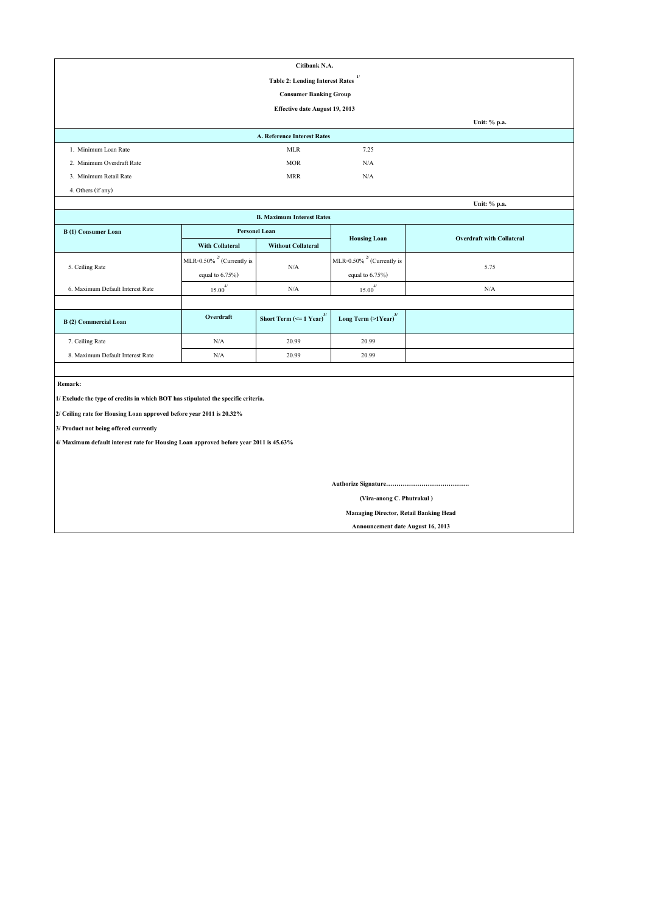|                                                                                       |                                 | Citibank N.A.                                 |                                               |                                  |  |  |  |  |
|---------------------------------------------------------------------------------------|---------------------------------|-----------------------------------------------|-----------------------------------------------|----------------------------------|--|--|--|--|
| 1/<br><b>Table 2: Lending Interest Rates</b>                                          |                                 |                                               |                                               |                                  |  |  |  |  |
| <b>Consumer Banking Group</b>                                                         |                                 |                                               |                                               |                                  |  |  |  |  |
|                                                                                       |                                 | <b>Effective date August 19, 2013</b>         |                                               |                                  |  |  |  |  |
|                                                                                       |                                 |                                               |                                               | Unit: % p.a.                     |  |  |  |  |
|                                                                                       |                                 | <b>A. Reference Interest Rates</b>            |                                               |                                  |  |  |  |  |
| 1. Minimum Loan Rate                                                                  |                                 | <b>MLR</b>                                    | 7.25                                          |                                  |  |  |  |  |
| 2. Minimum Overdraft Rate                                                             |                                 | <b>MOR</b>                                    | N/A                                           |                                  |  |  |  |  |
| 3. Minimum Retail Rate                                                                |                                 | <b>MRR</b>                                    | N/A                                           |                                  |  |  |  |  |
| 4. Others (if any)                                                                    |                                 |                                               |                                               |                                  |  |  |  |  |
|                                                                                       |                                 |                                               |                                               | Unit: % p.a.                     |  |  |  |  |
|                                                                                       |                                 | <b>B. Maximum Interest Rates</b>              |                                               |                                  |  |  |  |  |
| <b>B</b> (1) Consumer Loan                                                            | <b>Personel Loan</b>            |                                               | <b>Housing Loan</b>                           | <b>Overdraft with Collateral</b> |  |  |  |  |
|                                                                                       | <b>With Collateral</b>          | <b>Without Collateral</b>                     |                                               |                                  |  |  |  |  |
| 5. Ceiling Rate                                                                       | MLR-0.50% $^{27}$ (Currently is | N/A                                           | MLR-0.50% $^{27}$ (Currently is               | 5.75                             |  |  |  |  |
|                                                                                       | equal to $6.75\%$ )             |                                               | equal to $6.75\%$ )                           |                                  |  |  |  |  |
| 6. Maximum Default Interest Rate                                                      | $15.00^{4/}$                    | N/A                                           | $15.00^{4/}$                                  | N/A                              |  |  |  |  |
|                                                                                       |                                 |                                               |                                               |                                  |  |  |  |  |
| <b>B</b> (2) Commercial Loan                                                          | Overdraft                       | Short Term $\left(\leq 1$ Year) <sup>3/</sup> | Long Term $(>1$ Year) <sup>3/</sup>           |                                  |  |  |  |  |
| 7. Ceiling Rate                                                                       | $\rm N/A$                       | 20.99                                         | 20.99                                         |                                  |  |  |  |  |
| 8. Maximum Default Interest Rate                                                      | $\rm N/A$                       | 20.99                                         | 20.99                                         |                                  |  |  |  |  |
|                                                                                       |                                 |                                               |                                               |                                  |  |  |  |  |
| Remark:                                                                               |                                 |                                               |                                               |                                  |  |  |  |  |
| 1/ Exclude the type of credits in which BOT has stipulated the specific criteria.     |                                 |                                               |                                               |                                  |  |  |  |  |
| 2/ Ceiling rate for Housing Loan approved before year 2011 is 20.32%                  |                                 |                                               |                                               |                                  |  |  |  |  |
| 3/ Product not being offered currently                                                |                                 |                                               |                                               |                                  |  |  |  |  |
| 4/ Maximum default interest rate for Housing Loan approved before year 2011 is 45.63% |                                 |                                               |                                               |                                  |  |  |  |  |
|                                                                                       |                                 |                                               |                                               |                                  |  |  |  |  |
|                                                                                       |                                 |                                               |                                               |                                  |  |  |  |  |
|                                                                                       |                                 |                                               |                                               |                                  |  |  |  |  |
| (Vira-anong C. Phutrakul)                                                             |                                 |                                               |                                               |                                  |  |  |  |  |
|                                                                                       |                                 |                                               | <b>Managing Director, Retail Banking Head</b> |                                  |  |  |  |  |

 **Announcement date August 16, 2013**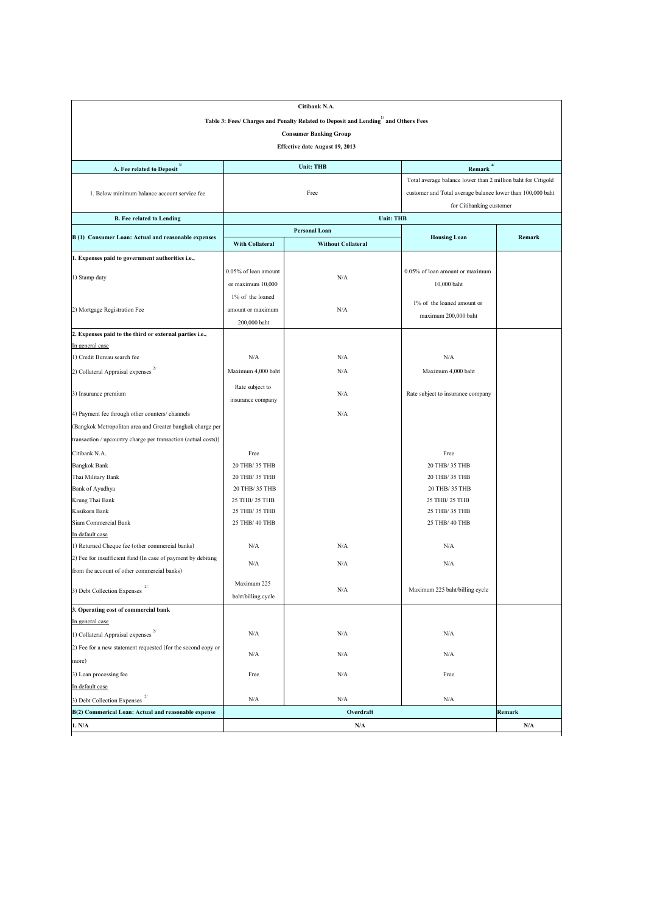|                                                                    |                         | Citibank N.A.                                                                      |                                                              |        |  |  |  |  |
|--------------------------------------------------------------------|-------------------------|------------------------------------------------------------------------------------|--------------------------------------------------------------|--------|--|--|--|--|
|                                                                    |                         | Table 3: Fees/ Charges and Penalty Related to Deposit and Lending" and Others Fees |                                                              |        |  |  |  |  |
| <b>Consumer Banking Group</b>                                      |                         |                                                                                    |                                                              |        |  |  |  |  |
| <b>Effective date August 19, 2013</b>                              |                         |                                                                                    |                                                              |        |  |  |  |  |
|                                                                    |                         |                                                                                    |                                                              |        |  |  |  |  |
| A. Fee related to Deposit <sup>3/</sup>                            |                         | <b>Unit: THB</b>                                                                   | $Remark$ <sup>4/</sup>                                       |        |  |  |  |  |
|                                                                    |                         |                                                                                    | Total average balance lower than 2 million baht for Citigold |        |  |  |  |  |
| 1. Below minimum balance account service fee                       |                         | Free                                                                               | customer and Total average balance lower than 100,000 baht   |        |  |  |  |  |
|                                                                    |                         |                                                                                    | for Citibanking customer                                     |        |  |  |  |  |
| <b>B. Fee related to Lending</b>                                   |                         | <b>Unit: THB</b>                                                                   |                                                              |        |  |  |  |  |
| B (1) Consumer Loan: Actual and reasonable expenses                |                         | <b>Personal Loan</b>                                                               | <b>Housing Loan</b>                                          | Remark |  |  |  |  |
|                                                                    | <b>With Collateral</b>  | <b>Without Collateral</b>                                                          |                                                              |        |  |  |  |  |
| 1. Expenses paid to government authorities i.e.,                   |                         |                                                                                    |                                                              |        |  |  |  |  |
|                                                                    | $0.05\%$ of loan amount |                                                                                    | 0.05% of loan amount or maximum                              |        |  |  |  |  |
| 1) Stamp duty                                                      | or maximum 10,000       | N/A                                                                                | 10,000 baht                                                  |        |  |  |  |  |
|                                                                    | 1% of the loaned        |                                                                                    |                                                              |        |  |  |  |  |
| 2) Mortgage Registration Fee                                       | amount or maximum       | N/A                                                                                | $1\%$ of the loaned amount or                                |        |  |  |  |  |
|                                                                    | 200,000 baht            |                                                                                    | maximum 200,000 baht                                         |        |  |  |  |  |
| 2. Expenses paid to the third or external parties i.e.,            |                         |                                                                                    |                                                              |        |  |  |  |  |
| In general case                                                    |                         |                                                                                    |                                                              |        |  |  |  |  |
| 1) Credit Bureau search fee                                        | N/A                     | N/A                                                                                | N/A                                                          |        |  |  |  |  |
| 2/<br>2) Collateral Appraisal expenses                             | Maximum 4,000 baht      | N/A                                                                                | Maximum 4,000 baht                                           |        |  |  |  |  |
|                                                                    | Rate subject to         |                                                                                    |                                                              |        |  |  |  |  |
| 3) Insurance premium                                               | insurance company       | N/A                                                                                | Rate subject to insurance company                            |        |  |  |  |  |
| 4) Payment fee through other counters/ channels                    |                         | N/A                                                                                |                                                              |        |  |  |  |  |
|                                                                    |                         |                                                                                    |                                                              |        |  |  |  |  |
| (Bangkok Metropolitan area and Greater bangkok charge per          |                         |                                                                                    |                                                              |        |  |  |  |  |
| transaction / upcountry charge per transaction (actual costs))     |                         |                                                                                    |                                                              |        |  |  |  |  |
| Citibank N.A.                                                      | Free                    |                                                                                    | Free                                                         |        |  |  |  |  |
| <b>Bangkok Bank</b>                                                | 20 THB/ 35 THB          |                                                                                    | 20 THB/ 35 THB                                               |        |  |  |  |  |
| Thai Military Bank                                                 | 20 THB/ 35 THB          |                                                                                    | 20 THB/ 35 THB                                               |        |  |  |  |  |
| Bank of Ayudhya                                                    | 20 THB/ 35 THB          |                                                                                    | 20 THB/ 35 THB                                               |        |  |  |  |  |
| Krung Thai Bank                                                    | 25 THB/ 25 THB          |                                                                                    | 25 THB/ 25 THB                                               |        |  |  |  |  |
| Kasikorn Bank                                                      | 25 THB/ 35 THB          |                                                                                    | 25 THB/ 35 THB                                               |        |  |  |  |  |
| Siam Commercial Bank                                               | 25 THB/ 40 THB          |                                                                                    | 25 THB/ 40 THB                                               |        |  |  |  |  |
| In default case<br>1) Returned Cheque fee (other commercial banks) | N/A                     | N/A                                                                                | N/A                                                          |        |  |  |  |  |
| 2) Fee for insufficient fund (In case of payment by debiting       |                         |                                                                                    |                                                              |        |  |  |  |  |
|                                                                    | N/A                     | N/A                                                                                | N/A                                                          |        |  |  |  |  |
| from the account of other commercial banks)                        |                         |                                                                                    |                                                              |        |  |  |  |  |
| 3) Debt Collection Expenses                                        | Maximum 225             | N/A                                                                                | Maximum 225 baht/billing cycle                               |        |  |  |  |  |
|                                                                    | baht/billing cycle      |                                                                                    |                                                              |        |  |  |  |  |
| 3. Operating cost of commercial bank                               |                         |                                                                                    |                                                              |        |  |  |  |  |
| In general case                                                    |                         |                                                                                    |                                                              |        |  |  |  |  |
| 1) Collateral Appraisal expenses                                   | N/A                     | N/A                                                                                | N/A                                                          |        |  |  |  |  |
| (2) Fee for a new statement requested (for the second copy or      | N/A                     | N/A                                                                                | N/A                                                          |        |  |  |  |  |
| more)                                                              |                         |                                                                                    |                                                              |        |  |  |  |  |
| 3) Loan processing fee                                             | Free                    | N/A                                                                                | Free                                                         |        |  |  |  |  |
| In default case                                                    |                         |                                                                                    |                                                              |        |  |  |  |  |
| 3) Debt Collection Expenses                                        | N/A                     | N/A                                                                                | N/A                                                          |        |  |  |  |  |
| B(2) Commerical Loan: Actual and reasonable expense                |                         | Overdraft                                                                          |                                                              | Remark |  |  |  |  |
| 1. N/A                                                             |                         | N/A                                                                                |                                                              | N/A    |  |  |  |  |